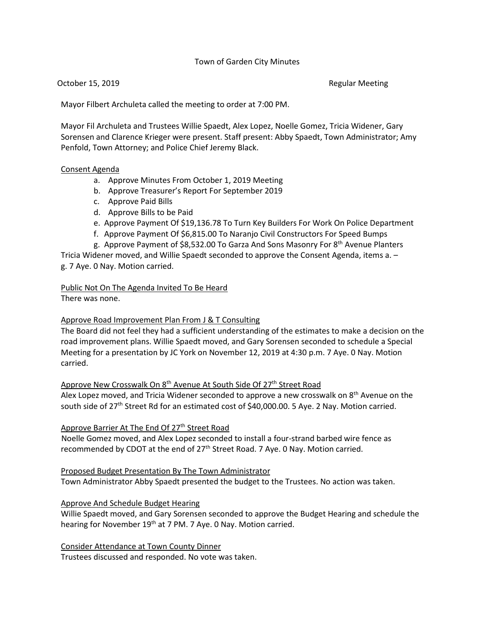# Town of Garden City Minutes

October 15, 2019 **Regular Meeting** Regular Meeting

Mayor Filbert Archuleta called the meeting to order at 7:00 PM.

Mayor Fil Archuleta and Trustees Willie Spaedt, Alex Lopez, Noelle Gomez, Tricia Widener, Gary Sorensen and Clarence Krieger were present. Staff present: Abby Spaedt, Town Administrator; Amy Penfold, Town Attorney; and Police Chief Jeremy Black.

### Consent Agenda

- a. Approve Minutes From October 1, 2019 Meeting
- b. Approve Treasurer's Report For September 2019
- c. Approve Paid Bills
- d. Approve Bills to be Paid
- e. Approve Payment Of \$19,136.78 To Turn Key Builders For Work On Police Department
- f. Approve Payment Of \$6,815.00 To Naranjo Civil Constructors For Speed Bumps
- g. Approve Payment of \$8,532.00 To Garza And Sons Masonry For 8th Avenue Planters Tricia Widener moved, and Willie Spaedt seconded to approve the Consent Agenda, items a. –

g. 7 Aye. 0 Nay. Motion carried.

Public Not On The Agenda Invited To Be Heard There was none.

Approve Road Improvement Plan From J & T Consulting

The Board did not feel they had a sufficient understanding of the estimates to make a decision on the road improvement plans. Willie Spaedt moved, and Gary Sorensen seconded to schedule a Special Meeting for a presentation by JC York on November 12, 2019 at 4:30 p.m. 7 Aye. 0 Nay. Motion carried.

# Approve New Crosswalk On 8<sup>th</sup> Avenue At South Side Of 27<sup>th</sup> Street Road

Alex Lopez moved, and Tricia Widener seconded to approve a new crosswalk on  $8<sup>th</sup>$  Avenue on the south side of 27<sup>th</sup> Street Rd for an estimated cost of \$40,000.00. 5 Aye. 2 Nay. Motion carried.

### Approve Barrier At The End Of 27<sup>th</sup> Street Road

 Noelle Gomez moved, and Alex Lopez seconded to install a four-strand barbed wire fence as recommended by CDOT at the end of 27<sup>th</sup> Street Road. 7 Aye. 0 Nay. Motion carried.

Proposed Budget Presentation By The Town Administrator

Town Administrator Abby Spaedt presented the budget to the Trustees. No action was taken.

### Approve And Schedule Budget Hearing

Willie Spaedt moved, and Gary Sorensen seconded to approve the Budget Hearing and schedule the hearing for November 19<sup>th</sup> at 7 PM. 7 Aye. 0 Nay. Motion carried.

Consider Attendance at Town County Dinner Trustees discussed and responded. No vote was taken.